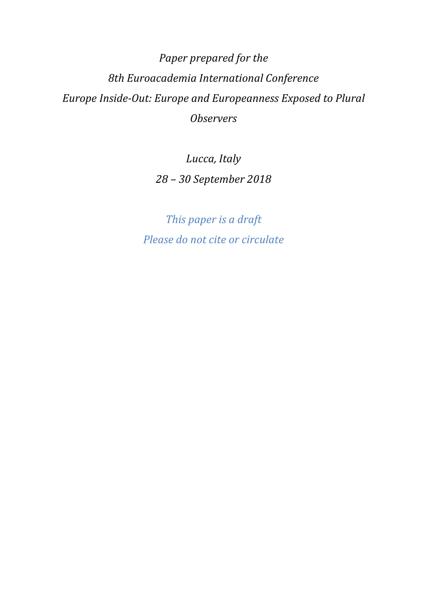*Paper prepared for the 8th Euroacademia International Conference Europe Inside-Out: Europe and Europeanness Exposed to Plural Observers* 

> *Lucca, Italy 28 – 30 September 2018*

*This paper is a draft Please do not cite or circulate*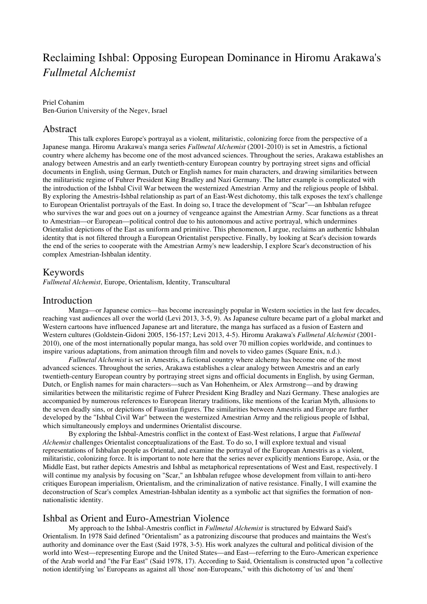# Reclaiming Ishbal: Opposing European Dominance in Hiromu Arakawa's *Fullmetal Alchemist*

#### Priel Cohanim

Ben-Gurion University of the Negev, Israel

### Abstract

This talk explores Europe's portrayal as a violent, militaristic, colonizing force from the perspective of a Japanese manga. Hiromu Arakawa's manga series *Fullmetal Alchemist* (2001-2010) is set in Amestris, a fictional country where alchemy has become one of the most advanced sciences. Throughout the series, Arakawa establishes an analogy between Amestris and an early twentieth-century European country by portraying street signs and official documents in English, using German, Dutch or English names for main characters, and drawing similarities between the militaristic regime of Fuhrer President King Bradley and Nazi Germany. The latter example is complicated with the introduction of the Ishbal Civil War between the westernized Amestrian Army and the religious people of Ishbal. By exploring the Amestris-Ishbal relationship as part of an East-West dichotomy, this talk exposes the text's challenge to European Orientalist portrayals of the East. In doing so, I trace the development of "Scar"—an Ishbalan refugee who survives the war and goes out on a journey of vengeance against the Amestrian Army. Scar functions as a threat to Amestrian—or European—political control due to his autonomous and active portrayal, which undermines Orientalist depictions of the East as uniform and primitive. This phenomenon, I argue, reclaims an authentic Ishbalan identity that is not filtered through a European Orientalist perspective. Finally, by looking at Scar's decision towards the end of the series to cooperate with the Amestrian Army's new leadership, I explore Scar's deconstruction of his complex Amestrian-Ishbalan identity.

### Keywords

*Fullmetal Alchemist*, Europe, Orientalism, Identity, Transcultural

#### Introduction

Manga—or Japanese comics—has become increasingly popular in Western societies in the last few decades, reaching vast audiences all over the world (Levi 2013, 3-5, 9). As Japanese culture became part of a global market and Western cartoons have influenced Japanese art and literature, the manga has surfaced as a fusion of Eastern and Western cultures (Goldstein-Gidoni 2005, 156-157; Levi 2013, 4-5). Hiromu Arakawa's *Fullmetal Alchemist* (2001- 2010), one of the most internationally popular manga, has sold over 70 million copies worldwide, and continues to inspire various adaptations, from animation through film and novels to video games (Square Enix, n.d.).

*Fullmetal Alchemist* is set in Amestris, a fictional country where alchemy has become one of the most advanced sciences. Throughout the series, Arakawa establishes a clear analogy between Amestris and an early twentieth-century European country by portraying street signs and official documents in English, by using German, Dutch, or English names for main characters—such as Van Hohenheim, or Alex Armstrong—and by drawing similarities between the militaristic regime of Fuhrer President King Bradley and Nazi Germany. These analogies are accompanied by numerous references to European literary traditions, like mentions of the Icarian Myth, allusions to the seven deadly sins, or depictions of Faustian figures. The similarities between Amestris and Europe are further developed by the "Ishbal Civil War" between the westernized Amestrian Army and the religious people of Ishbal, which simultaneously employs and undermines Orientalist discourse.

By exploring the Ishbal-Amestris conflict in the context of East-West relations, I argue that *Fullmetal Alchemist* challenges Orientalist conceptualizations of the East. To do so, I will explore textual and visual representations of Ishbalan people as Oriental, and examine the portrayal of the European Amestris as a violent, militaristic, colonizing force. It is important to note here that the series never explicitly mentions Europe, Asia, or the Middle East, but rather depicts Amestris and Ishbal as metaphorical representations of West and East, respectively. I will continue my analysis by focusing on "Scar," an Ishbalan refugee whose development from villain to anti-hero critiques European imperialism, Orientalism, and the criminalization of native resistance. Finally, I will examine the deconstruction of Scar's complex Amestrian-Ishbalan identity as a symbolic act that signifies the formation of nonnationalistic identity.

#### Ishbal as Orient and Euro-Amestrian Violence

My approach to the Ishbal-Amestris conflict in *Fullmetal Alchemist* is structured by Edward Said's Orientalism. In 1978 Said defined "Orientalism" as a patronizing discourse that produces and maintains the West's authority and dominance over the East (Said 1978, 3-5). His work analyzes the cultural and political division of the world into West—representing Europe and the United States—and East—referring to the Euro-American experience of the Arab world and "the Far East" (Said 1978, 17). According to Said, Orientalism is constructed upon "a collective notion identifying 'us' Europeans as against all 'those' non-Europeans," with this dichotomy of 'us' and 'them'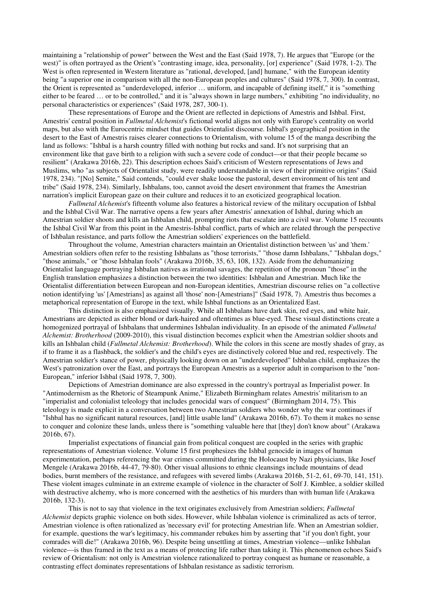maintaining a "relationship of power" between the West and the East (Said 1978, 7). He argues that "Europe (or the west)" is often portrayed as the Orient's "contrasting image, idea, personality, [or] experience" (Said 1978, 1-2). The West is often represented in Western literature as "rational, developed, [and] humane," with the European identity being "a superior one in comparison with all the non-European peoples and cultures" (Said 1978, 7, 300). In contrast, the Orient is represented as "underdeveloped, inferior … uniform, and incapable of defining itself," it is "something either to be feared … or to be controlled," and it is "always shown in large numbers," exhibiting "no individuality, no personal characteristics or experiences" (Said 1978, 287, 300-1).

These representations of Europe and the Orient are reflected in depictions of Amestris and Ishbal. First, Amestris' central position in *Fullmetal Alchemist*'s fictional world aligns not only with Europe's centrality on world maps, but also with the Eurocentric mindset that guides Orientalist discourse. Ishbal's geographical position in the desert to the East of Amestris raises clearer connections to Orientalism, with volume 15 of the manga describing the land as follows: "Ishbal is a harsh country filled with nothing but rocks and sand. It's not surprising that an environment like that gave birth to a religion with such a severe code of conduct—or that their people became so resilient" (Arakawa 2016b, 22). This description echoes Said's criticism of Western representations of Jews and Muslims, who "as subjects of Orientalist study, were readily understandable in view of their primitive origins" (Said 1978, 234). "[No] Semite," Said contends, "could ever shake loose the pastoral, desert environment of his tent and tribe" (Said 1978, 234). Similarly, Ishbalans, too, cannot avoid the desert environment that frames the Amestrian narration's implicit European gaze on their culture and reduces it to an exoticized geographical location.

*Fullmetal Alchemist*'s fifteenth volume also features a historical review of the military occupation of Ishbal and the Ishbal Civil War. The narrative opens a few years after Amestris' annexation of Ishbal, during which an Amestrian soldier shoots and kills an Ishbalan child, prompting riots that escalate into a civil war. Volume 15 recounts the Ishbal Civil War from this point in the Amestris-Ishbal conflict, parts of which are related through the perspective of Ishbalan resistance, and parts follow the Amestrian soldiers' experiences on the battlefield.

Throughout the volume, Amestrian characters maintain an Orientalist distinction between 'us' and 'them.' Amestrian soldiers often refer to the resisting Ishbalans as "those terrorists," "those damn Ishbalans," "Ishbalan dogs," "those animals," or "those Ishbalan fools" (Arakawa 2016b, 35, 63, 108, 132). Aside from the dehumanizing Orientalist language portraying Ishbalan natives as irrational savages, the repetition of the pronoun "those" in the English translation emphasizes a distinction between the two identities: Ishbalan and Amestrian. Much like the Orientalist differentiation between European and non-European identities, Amestrian discourse relies on "a collective notion identifying 'us' [Amestrians] as against all 'those' non-[Amestrians]" (Said 1978, 7). Amestris thus becomes a metaphorical representation of Europe in the text, while Ishbal functions as an Orientalized East.

This distinction is also emphasized visually. While all Ishbalans have dark skin, red eyes, and white hair, Amestrians are depicted as either blond or dark-haired and oftentimes as blue-eyed. These visual distinctions create a homogenized portrayal of Ishbalans that undermines Ishbalan individuality. In an episode of the animated *Fullmetal Alchemist: Brotherhood* (2009-2010), this visual distinction becomes explicit when the Amestrian soldier shoots and kills an Ishbalan child (*Fullmetal Alchemist: Brotherhood*). While the colors in this scene are mostly shades of gray, as if to frame it as a flashback, the soldier's and the child's eyes are distinctively colored blue and red, respectively. The Amestrian soldier's stance of power, physically looking down on an "underdeveloped" Ishbalan child, emphasizes the West's patronization over the East, and portrays the European Amestris as a superior adult in comparison to the "non-European," inferior Ishbal (Said 1978, 7, 300).

Depictions of Amestrian dominance are also expressed in the country's portrayal as Imperialist power. In "Antimodernism as the Rhetoric of Steampunk Anime," Elizabeth Birmingham relates Amestris' militarism to an "imperialist and colonialist teleology that includes genocidal wars of conquest" (Birmingham 2014, 75). This teleology is made explicit in a conversation between two Amestrian soldiers who wonder why the war continues if "Ishbal has no significant natural resources, [and] little usable land" (Arakawa 2016b, 67). To them it makes no sense to conquer and colonize these lands, unless there is "something valuable here that [they] don't know about" (Arakawa 2016b, 67).

Imperialist expectations of financial gain from political conquest are coupled in the series with graphic representations of Amestrian violence. Volume 15 first prophesizes the Ishbal genocide in images of human experimentation, perhaps referencing the war crimes committed during the Holocaust by Nazi physicians, like Josef Mengele (Arakawa 2016b, 44-47, 79-80). Other visual allusions to ethnic cleansings include mountains of dead bodies, burnt members of the resistance, and refugees with severed limbs (Arakawa 2016b, 51-2, 61, 69-70, 141, 151). These violent images culminate in an extreme example of violence in the character of Solf J. Kimblee, a soldier skilled with destructive alchemy, who is more concerned with the aesthetics of his murders than with human life (Arakawa 2016b, 132-3).

This is not to say that violence in the text originates exclusively from Amestrian soldiers; *Fullmetal Alchemist* depicts graphic violence on both sides. However, while Ishbalan violence is criminalized as acts of terror, Amestrian violence is often rationalized as 'necessary evil' for protecting Amestrian life. When an Amestrian soldier, for example, questions the war's legitimacy, his commander rebukes him by asserting that "if you don't fight, your comrades will die!" (Arakawa 2016b, 96). Despite being unsettling at times, Amestrian violence—unlike Ishbalan violence—is thus framed in the text as a means of protecting life rather than taking it. This phenomenon echoes Said's review of Orientalism: not only is Amestrian violence rationalized to portray conquest as humane or reasonable, a contrasting effect dominates representations of Ishbalan resistance as sadistic terrorism.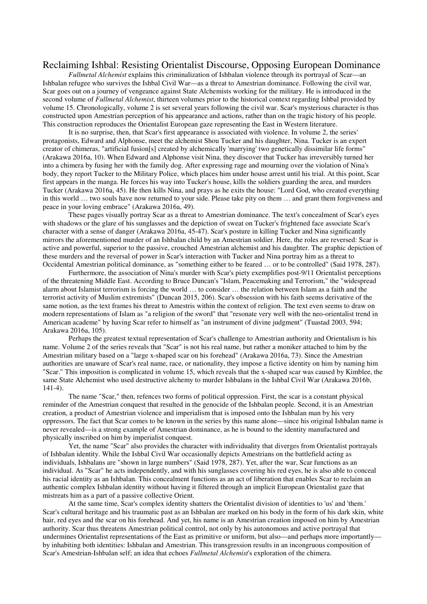# Reclaiming Ishbal: Resisting Orientalist Discourse, Opposing European Dominance

*Fullmetal Alchemist* explains this criminalization of Ishbalan violence through its portrayal of Scar—an Ishbalan refugee who survives the Ishbal Civil War—as a threat to Amestrian dominance. Following the civil war, Scar goes out on a journey of vengeance against State Alchemists working for the military. He is introduced in the second volume of *Fullmetal Alchemist*, thirteen volumes prior to the historical context regarding Ishbal provided by volume 15. Chronologically, volume 2 is set several years following the civil war. Scar's mysterious character is thus constructed upon Amestrian perception of his appearance and actions, rather than on the tragic history of his people. This construction reproduces the Orientalist European gaze representing the East in Western literature.

It is no surprise, then, that Scar's first appearance is associated with violence. In volume 2, the series' protagonists, Edward and Alphonse, meet the alchemist Shou Tucker and his daughter, Nina. Tucker is an expert creator of chimeras, "artificial fusion[s] created by alchemically 'marrying' two genetically dissimilar life forms" (Arakawa 2016a, 10). When Edward and Alphonse visit Nina, they discover that Tucker has irreversibly turned her into a chimera by fusing her with the family dog. After expressing rage and mourning over the violation of Nina's body, they report Tucker to the Military Police, which places him under house arrest until his trial. At this point, Scar first appears in the manga. He forces his way into Tucker's house, kills the soldiers guarding the area, and murders Tucker (Arakawa 2016a, 45). He then kills Nina, and prays as he exits the house: "Lord God, who created everything in this world … two souls have now returned to your side. Please take pity on them … and grant them forgiveness and peace in your loving embrace" (Arakawa 2016a, 49).

These pages visually portray Scar as a threat to Amestrian dominance. The text's concealment of Scar's eyes with shadows or the glare of his sunglasses and the depiction of sweat on Tucker's frightened face associate Scar's character with a sense of danger (Arakawa 2016a, 45-47). Scar's posture in killing Tucker and Nina significantly mirrors the aforementioned murder of an Ishbalan child by an Amestrian soldier. Here, the roles are reversed: Scar is active and powerful, superior to the passive, crouched Amestrian alchemist and his daughter. The graphic depiction of these murders and the reversal of power in Scar's interaction with Tucker and Nina portray him as a threat to Occidental Amestrian political dominance, as "something either to be feared … or to be controlled" (Said 1978, 287).

Furthermore, the association of Nina's murder with Scar's piety exemplifies post-9/11 Orientalist perceptions of the threatening Middle East. According to Bruce Duncan's "Islam, Peacemaking and Terrorism," the "widespread alarm about Islamist terrorism is forcing the world … to consider … the relation between Islam as a faith and the terrorist activity of Muslim extremists" (Duncan 2015, 206). Scar's obsession with his faith seems derivative of the same notion, as the text frames his threat to Amestris within the context of religion. The text even seems to draw on modern representations of Islam as "a religion of the sword" that "resonate very well with the neo-orientalist trend in American academe" by having Scar refer to himself as "an instrument of divine judgment" (Tuastad 2003, 594; Arakawa 2016a, 105).

Perhaps the greatest textual representation of Scar's challenge to Amestrian authority and Orientalism is his name. Volume 2 of the series reveals that "Scar" is not his real name, but rather a moniker attached to him by the Amestrian military based on a "large x-shaped scar on his forehead" (Arakawa 2016a, 73). Since the Amestrian authorities are unaware of Scar's real name, race, or nationality, they impose a fictive identity on him by naming him "Scar." This imposition is complicated in volume 15, which reveals that the x-shaped scar was caused by Kimblee, the same State Alchemist who used destructive alchemy to murder Ishbalans in the Ishbal Civil War (Arakawa 2016b, 141-4).

The name "Scar," then, refences two forms of political oppression. First, the scar is a constant physical reminder of the Amestrian conquest that resulted in the genocide of the Ishbalan people. Second, it is an Amestrian creation, a product of Amestrian violence and imperialism that is imposed onto the Ishbalan man by his very oppressors. The fact that Scar comes to be known in the series by this name alone—since his original Ishbalan name is never revealed—is a strong example of Amestrian dominance, as he is bound to the identity manufactured and physically inscribed on him by imperialist conquest.

Yet, the name "Scar" also provides the character with individuality that diverges from Orientalist portrayals of Ishbalan identity. While the Ishbal Civil War occasionally depicts Amestrians on the battlefield acting as individuals, Ishbalans are "shown in large numbers" (Said 1978, 287). Yet, after the war, Scar functions as an individual. As "Scar" he acts independently, and with his sunglasses covering his red eyes, he is also able to conceal his racial identity as an Ishbalan. This concealment functions as an act of liberation that enables Scar to reclaim an authentic complex Ishbalan identity without having it filtered through an implicit European Orientalist gaze that mistreats him as a part of a passive collective Orient.

At the same time, Scar's complex identity shatters the Orientalist division of identities to 'us' and 'them.' Scar's cultural heritage and his traumatic past as an Ishbalan are marked on his body in the form of his dark skin, white hair, red eyes and the scar on his forehead. And yet, his name is an Amestrian creation imposed on him by Amestrian authority. Scar thus threatens Amestrian political control, not only by his autonomous and active portrayal that undermines Orientalist representations of the East as primitive or uniform, but also—and perhaps more importantly by inhabiting both identities: Ishbalan and Amestrian. This transgression results in an incongruous composition of Scar's Amestrian-Ishbalan self; an idea that echoes *Fullmetal Alchemist*'s exploration of the chimera.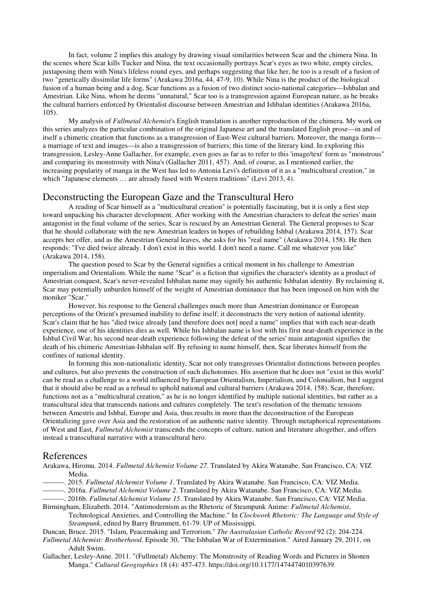In fact, volume 2 implies this analogy by drawing visual similarities between Scar and the chimera Nina. In the scenes where Scar kills Tucker and Nina, the text occasionally portrays Scar's eyes as two white, empty circles, juxtaposing them with Nina's lifeless round eyes, and perhaps suggesting that like her, he too is a result of a fusion of two "genetically dissimilar life forms" (Arakawa 2016a, 44, 47-9, 10). While Nina is the product of the biological fusion of a human being and a dog, Scar functions as a fusion of two distinct socio-national categories—Ishbalan and Amestrian. Like Nina, whom he deems "unnatural," Scar too is a transgression against European nature, as he breaks the cultural barriers enforced by Orientalist discourse between Amestrian and Ishbalan identities (Arakawa 2016a, 105).

My analysis of *Fullmetal Alchemist*'s English translation is another reproduction of the chimera. My work on this series analyzes the particular combination of the original Japanese art and the translated English prose—in and of itself a chimeric creation that functions as a transgression of East-West cultural barriers. Moreover, the manga form a marriage of text and images—is also a transgression of barriers; this time of the literary kind. In exploring this transgression, Lesley-Anne Gallacher, for example, even goes as far as to refer to this 'image/text' form as "monstrous" and comparing its monstrosity with Nina's (Gallacher 2011, 457). And, of course, as I mentioned earlier, the increasing popularity of manga in the West has led to Antonia Levi's definition of it as a "multicultural creation," in which "Japanese elements … are already fused with Western traditions" (Levi 2013, 4).

# Deconstructing the European Gaze and the Transcultural Hero

A reading of Scar himself as a "multicultural creation" is potentially fascinating, but it is only a first step toward unpacking his character development. After working with the Amestrian characters to defeat the series' main antagonist in the final volume of the series, Scar is rescued by an Amestrian General. The General proposes to Scar that he should collaborate with the new Amestrian leaders in hopes of rebuilding Ishbal (Arakawa 2014, 157). Scar accepts her offer, and as the Amestrian General leaves, she asks for his "real name" (Arakawa 2014, 158). He then responds: "I've died twice already. I don't exist in this world. I don't need a name. Call me whatever you like" (Arakawa 2014, 158).

The question posed to Scar by the General signifies a critical moment in his challenge to Amestrian imperialism and Orientalism. While the name "Scar" is a fiction that signifies the character's identity as a product of Amestrian conquest, Scar's never-revealed Ishbalan name may signify his authentic Ishbalan identity. By reclaiming it, Scar may potentially unburden himself of the weight of Amestrian dominance that has been imposed on him with the moniker "Scar."

However, his response to the General challenges much more than Amestrian dominance or European perceptions of the Orient's presumed inability to define itself; it deconstructs the very notion of national identity. Scar's claim that he has "died twice already [and therefore does not] need a name" implies that with each near-death experience, one of his identities dies as well. While his Ishbalan name is lost with his first near-death experience in the Ishbal Civil War, his second near-death experience following the defeat of the series' main antagonist signifies the death of his chimeric Amestrian-Ishbalan self. By refusing to name himself, then, Scar liberates himself from the confines of national identity.

In forming this non-nationalistic identity, Scar not only transgresses Orientalist distinctions between peoples and cultures, but also prevents the construction of such dichotomies. His assertion that he does not "exist in this world" can be read as a challenge to a world influenced by European Orientalism, Imperialism, and Colonialism, but I suggest that it should also be read as a refusal to uphold national and cultural barriers (Arakawa 2014, 158). Scar, therefore, functions not as a "multicultural creation," as he is no longer identified by multiple national identities, but rather as a transcultural idea that transcends nations and cultures completely. The text's resolution of the thematic tensions between Amestris and Ishbal, Europe and Asia, thus results in more than the deconstruction of the European Orientalizing gave over Asia and the restoration of an authentic native identity. Through metaphorical representations of West and East, *Fullmetal Alchemist* transcends the concepts of culture, nation and literature altogether, and offers instead a transcultural narrative with a transcultural hero.

#### References

Arakawa, Hiromu. 2014. *Fullmetal Alchemist Volume 27*. Translated by Akira Watanabe. San Francisco, CA: VIZ Media.

———. 2015. *Fullmetal Alchemist Volume 1*. Translated by Akira Watanabe. San Francisco, CA: VIZ Media.

———. 2016a. *Fullmetal Alchemist Volume 2*. Translated by Akira Watanabe. San Francisco, CA: VIZ Media.

———. 2016b. *Fullmetal Alchemist Volume 15*. Translated by Akira Watanabe. San Francisco, CA: VIZ Media. Birmingham, Elizabeth. 2014. "Antimodernism as the Rhetoric of Steampunk Anime: *Fullmetal Alchemist*,

Technological Anxieties, and Controlling the Machine." In *Clockwork Rhetoric: The Language and Style of Steampunk*, edited by Barry Brummett, 61-79. UP of Mississippi.

Duncan, Bruce. 2015. "Islam, Peacemaking and Terrorism." *The Australasian Catholic Record* 92 (2): 204-224.

*Fullmetal Alchemist: Brotherhood*. Episode 30, "The Ishbalan War of Extermination." Aired January 29, 2011, on Adult Swim.

Gallacher, Lesley-Anne. 2011. "(Fullmetal) Alchemy: The Monstrosity of Reading Words and Pictures in Shonen Manga." *Cultural Geographies* 18 (4): 457-473. https://doi.org/10.1177/1474474010397639.